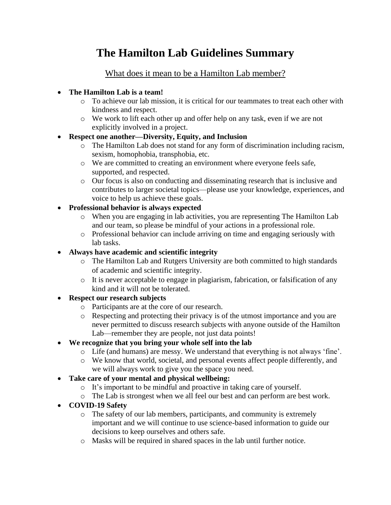# **The Hamilton Lab Guidelines Summary**

## What does it mean to be a Hamilton Lab member?

#### • **The Hamilton Lab is a team!**

- o To achieve our lab mission, it is critical for our teammates to treat each other with kindness and respect.
- o We work to lift each other up and offer help on any task, even if we are not explicitly involved in a project.

#### • **Respect one another—Diversity, Equity, and Inclusion**

- o The Hamilton Lab does not stand for any form of discrimination including racism, sexism, homophobia, transphobia, etc.
- o We are committed to creating an environment where everyone feels safe, supported, and respected.
- o Our focus is also on conducting and disseminating research that is inclusive and contributes to larger societal topics—please use your knowledge, experiences, and voice to help us achieve these goals.

#### • **Professional behavior is always expected**

- o When you are engaging in lab activities, you are representing The Hamilton Lab and our team, so please be mindful of your actions in a professional role.
- o Professional behavior can include arriving on time and engaging seriously with lab tasks.

#### • **Always have academic and scientific integrity**

- o The Hamilton Lab and Rutgers University are both committed to high standards of academic and scientific integrity.
- o It is never acceptable to engage in plagiarism, fabrication, or falsification of any kind and it will not be tolerated.

## • **Respect our research subjects**

- o Participants are at the core of our research.
- o Respecting and protecting their privacy is of the utmost importance and you are never permitted to discuss research subjects with anyone outside of the Hamilton Lab—remember they are people, not just data points!

## • **We recognize that you bring your whole self into the lab**

- o Life (and humans) are messy. We understand that everything is not always 'fine'.
- o We know that world, societal, and personal events affect people differently, and we will always work to give you the space you need.
- **Take care of your mental and physical wellbeing:**
	- o It's important to be mindful and proactive in taking care of yourself.
	- o The Lab is strongest when we all feel our best and can perform are best work.
- **COVID-19 Safety**
	- o The safety of our lab members, participants, and community is extremely important and we will continue to use science-based information to guide our decisions to keep ourselves and others safe.
	- o Masks will be required in shared spaces in the lab until further notice.